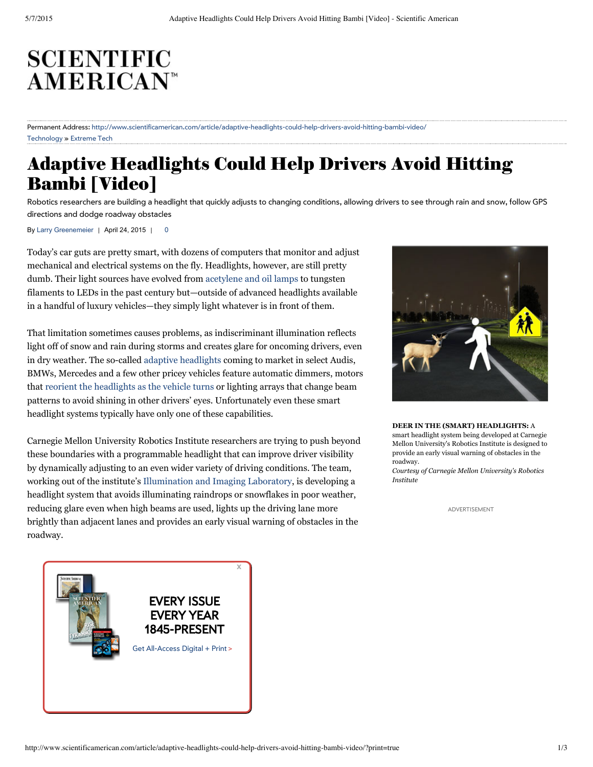# **SCIENTIFIC AMERICAN<sup>®</sup>**

#### [Technology](http://www.scientificamerican.com/technology) » [Extreme](http://www.scientificamerican.com/section/extreme-tech/) Tech Permanent Address: [h](http://www.scientificamerican.com/report/the-2014-nobel-prizes/)[ttp://www.scientificamerican.com/article/adaptive-headlights-could-help-drivers-avoid-hitting-bambi-video/](http://www.scientificamerican.com/article/adaptive-headlights-could-help-drivers-avoid-hitting-bambi-video/)

## Adaptive [Headlights](http://www.scientificamerican.com/podcast/episode/lyme-helps-spread-other-tick-infections/) Could [Help](http://www.scientificamerican.com/) Drivers [Avoid](http://www.scientificamerican.com/) Hitting Bambi [\[Video\]](http://www.scientificamerican.com/article/how-the-iconic-pillars-of-creation-arose/)

Robotics researchers are building a headlight that quickly adjusts to changing conditions, allowing drivers to see through rain and snow, follow GPS directions and dodge roadway obstacles

By Larry [Greenemeier](http://www.scientificamerican.com/author/larry-greenemeier) | April 24, 2015 | 0

Today's car guts are pretty smart, with dozens of computers that monitor and adjust mechanical and electrical systems on the fly. Headlights, however, are still pretty dumb. Their light sources have evolved from [acetylene](http://www.autoevolution.com/news/history-of-automotive-headlamps-from-acetylene-to-leds-4485.html) and oil lamps to tungsten filaments to LEDs in the past century but—outside of advanced headlights available in a handful of luxury vehicles—they simply light whatever is in front of them.

That limitation sometimes causes problems, as [indiscriminant](http://books.scientificamerican.com/fsg/books/the-wisdom-of-psychopaths//) illumination reflects light off of snow and rain during storms and creates glare for oncoming drivers, even in dry weather. The so-called adaptive [headlights](http://auto.howstuffworks.com/adaptive-headlight.htm) coming to market in select Audis, BMWs, Mercedes and a few other pricey vehicles feature automatic dimmers, motors that reorient the [headlights](http://www.bmw.com/com/en/insights/technology/technology_guide/articles/mm_adaptive_headlights.html) as the vehicle turns or lighting arrays that change beam patterns to avoid [shining](http://books.scientificamerican.com/fsg/books/the-wisdom-of-psychopaths//) in other drivers' eyes. [Unfortunately](http://books.scientificamerican.com/) even these s[mart](http://books.scientificamerican.com/) headlight systems typically have only one of these capabilities.

Carnegie Mellon University Robotics Institute researchers are trying to push beyond these boundaries with a [programmable](http://books.scientificamerican.com/fsg/books/why-is-the-penis-shaped-like-that//) headlight that can improve driver visibility by dynamically adjusting to an even wider variety of driving conditions. The team, working out of the institute's [Illumination](http://www.cs.cmu.edu/~ILIM/) and Imaging Laboratory, is developing a headlight system that avoids illuminating raindrops or snowflakes in poor weather, reducing glare even when high beams are used, lights up the driving lane more brightly than adjacent lanes and provides an early visual warning of obstacles in the roadway.



**DEER IN THE (SMART) HEADLIGHTS:** A smart headlight system being developed at Carnegie Mellon University's Robotics Institute is designed to provide an early visual warning of obstacles in the roadway.

*Courtesy of Carnegie Mellon University's Robotics Institute*

ADVERTISEMENT

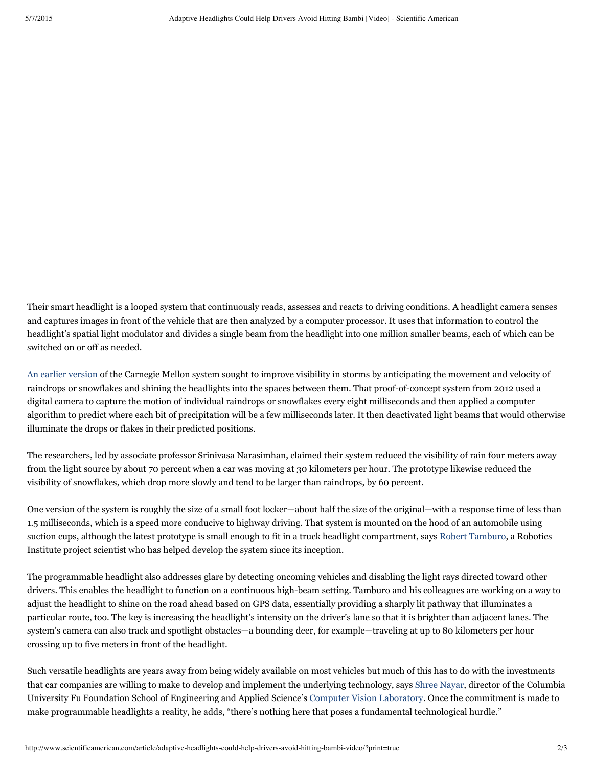Their smart headlight is a looped system that continuously reads, assesses and reacts to driving conditions. A headlight camera senses and captures images in front of the vehicle that are then analyzed by a computer processor. It uses that information to control the headlight's spatial light modulator and divides a single beam from the headlight into one million smaller beams, each of which can be switched on or off as needed.

An earlier [version](http://blogs.scientificamerican.com/observations/2012/07/26/smart-headlights-let-drivers-see-through-rain-and-snow/) of the Carnegie Mellon system sought to improve visibility in storms by anticipating the movement and velocity of raindrops or snowflakes and shining the headlights into the spaces between them. That proof-of-concept system from 2012 used a digital camera to capture the motion of individual raindrops or snowflakes every eight milliseconds and then applied a computer algorithm to predict where each bit of precipitation will be a few milliseconds later. It then deactivated light beams that would otherwise illuminate the drops or flakes in their predicted positions.

The researchers, led by associate professor Srinivasa Narasimhan, claimed their system reduced the visibility of rain four meters away from the light source by about 70 percent when a car was moving at 30 kilometers per hour. The prototype likewise reduced the visibility of snowflakes, which drop more slowly and tend to be larger than raindrops, by 60 percent.

One version of the system is roughly the size of a small foot locker—about half the size of the original—with a response time of less than 1.5 milliseconds, which is a speed more conducive to highway driving. That system is mounted on the hood of an automobile using suction cups, although the latest prototype is small enough to fit in a truck headlight compartment, says Robert [Tamburo,](http://www.tamburo.us/) a Robotics Institute project scientist who has helped develop the system since its inception.

The programmable headlight also addresses glare by detecting oncoming vehicles and disabling the light rays directed toward other drivers. This enables the headlight to function on a continuous high-beam setting. Tamburo and his colleagues are working on a way to adjust the headlight to shine on the road ahead based on GPS data, essentially providing a sharply lit pathway that illuminates a particular route, too. The key is increasing the headlight's intensity on the driver's lane so that it is brighter than adjacent lanes. The system's camera can also track and spotlight obstacles—a bounding deer, for example—traveling at up to 80 kilometers per hour crossing up to five meters in front of the headlight.

Such versatile headlights are years away from being widely available on most vehicles but much of this has to do with the investments that car companies are willing to make to develop and implement the underlying technology, says Shree [Nayar](http://www.cs.columbia.edu/~nayar/), director of the Columbia University Fu Foundation School of Engineering and Applied Science's Computer Vision [Laboratory.](http://www.cs.columbia.edu/CAVE/) Once the commitment is made to make programmable headlights a reality, he adds, "there's nothing here that poses a fundamental technological hurdle."